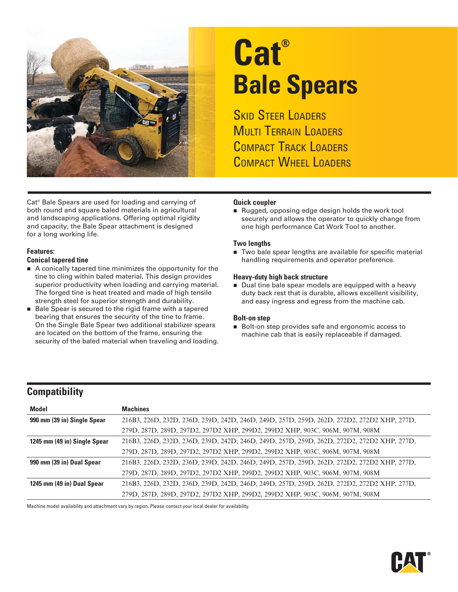

# **Cat® Bale Spears**

**SKID STEER LOADERS MULTI TERRAIN LOADERS** COMPACT TRACK LOADERS COMPACT WHEEL LOADERS

Cat® Bale Spears are used for loading and carrying of both round and square baled materials in agricultural and landscaping applications. Offering optimal rigidity and capacity, the Bale Spear attachment is designed for a long working life.

#### **Features:**

#### **Conical tapered tine**

- A conically tapered tine minimizes the opportunity for the tine to cling within baled material. This design provides superior productivity when loading and carrying material. The forged tine is heat treated and made of high tensile strength steel for superior strength and durability.
- Bale Spear is secured to the rigid frame with a tapered bearing that ensures the security of the tine to frame. On the Single Bale Spear two additional stabilizer spears are located on the bottom of the frame, ensuring the security of the baled material when traveling and loading.

#### **Quick coupler**

Rugged, opposing edge design holds the work tool securely and allows the operator to quickly change from one high performance Cat Work Tool to another.

#### **Two lengths**

■ Two bale spear lengths are available for specific material handling requirements and operator preference.

#### **Heavy-duty high back structure**

Dual tine bale spear models are equipped with a heavy duty back rest that is durable, allows excellent visibility, and easy ingress and egress from the machine cab.

#### **Bolt-on step**

Bolt-on step provides safe and ergonomic access to machine cab that is easily replaceable if damaged.

### **Compatibility**

| <b>Model</b>                 | <b>Machines</b>                                                                            |
|------------------------------|--------------------------------------------------------------------------------------------|
| 990 mm (39 in) Single Spear  | 216B3, 226D, 232D, 236D, 239D, 242D, 246D, 249D, 257D, 259D, 262D, 272D2, 272D2 XHP, 277D, |
|                              | 279D, 287D, 289D, 297D2, 297D2 XHP, 299D2, 299D2 XHP, 903C, 906M, 907M, 908M               |
| 1245 mm (49 in) Single Spear | 216B3, 226D, 232D, 236D, 239D, 242D, 246D, 249D, 257D, 259D, 262D, 272D2, 272D2 XHP, 277D, |
|                              | 279D, 287D, 289D, 297D2, 297D2 XHP, 299D2, 299D2 XHP, 903C, 906M, 907M, 908M               |
| 990 mm (39 in) Dual Spear    | 216B3, 226D, 232D, 236D, 239D, 242D, 246D, 249D, 257D, 259D, 262D, 272D2, 272D2 XHP, 277D, |
|                              | 279D, 287D, 289D, 297D2, 297D2 XHP, 299D2, 299D2 XHP, 903C, 906M, 907M, 908M               |
| 1245 mm (49 in) Dual Spear   | 216B3, 226D, 232D, 236D, 239D, 242D, 246D, 249D, 257D, 259D, 262D, 272D2, 272D2 XHP, 277D, |
|                              | 279D, 287D, 289D, 297D2, 297D2 XHP, 299D2, 299D2 XHP, 903C, 906M, 907M, 908M               |

Machine model availability and attachment vary by region. Please contact your local dealer for availability.